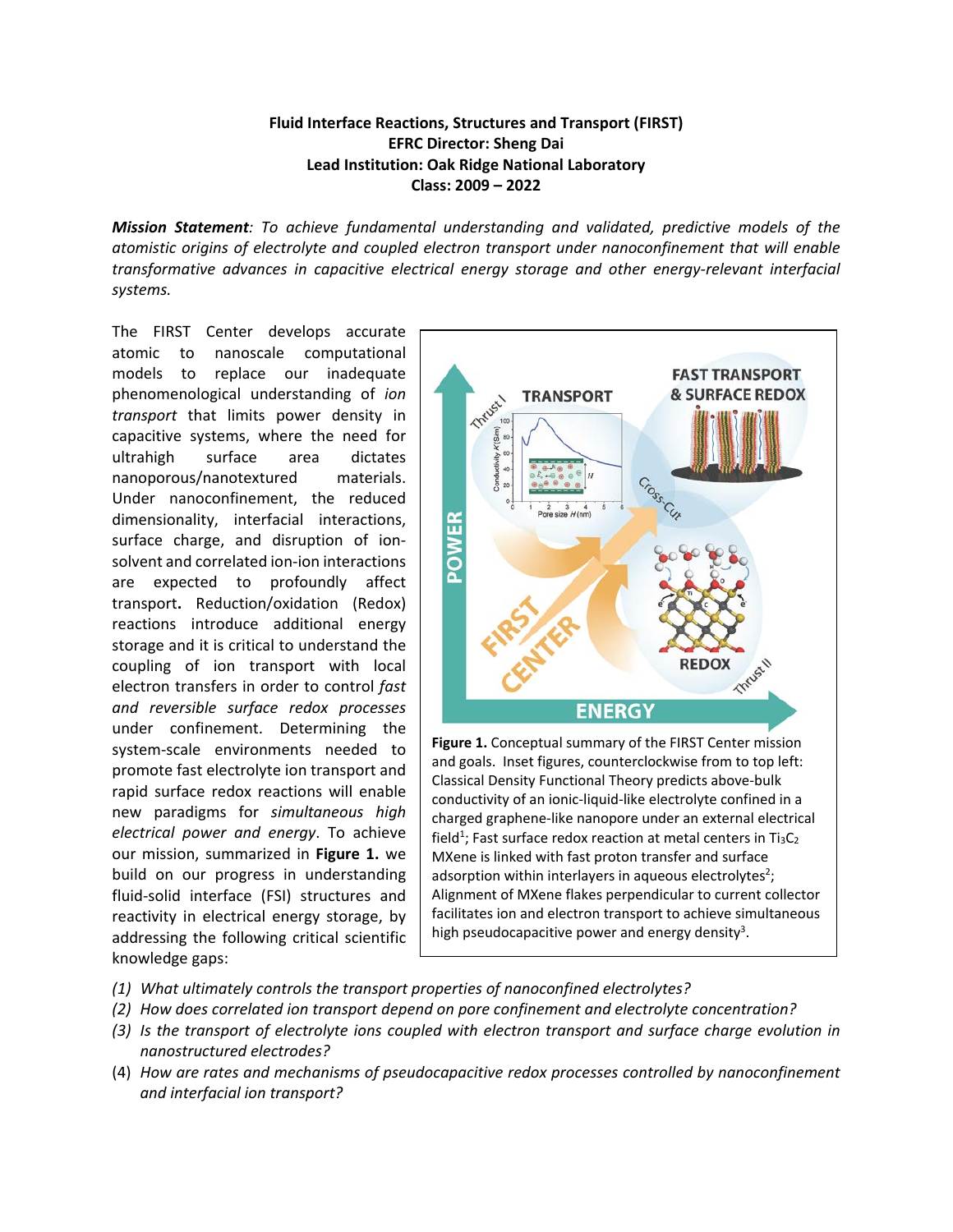## **Fluid Interface Reactions, Structures and Transport (FIRST) EFRC Director: Sheng Dai Lead Institution: Oak Ridge National Laboratory Class: 2009 – 2022**

*Mission Statement: To achieve fundamental understanding and validated, predictive models of the atomistic origins of electrolyte and coupled electron transport under nanoconfinement that will enable transformative advances in capacitive electrical energy storage and other energy-relevant interfacial systems.*

The FIRST Center develops accurate atomic to nanoscale computational models to replace our inadequate phenomenological understanding of *ion transport* that limits power density in capacitive systems, where the need for ultrahigh surface area dictates nanoporous/nanotextured materials. Under nanoconfinement, the reduced dimensionality, interfacial interactions, surface charge, and disruption of ionsolvent and correlated ion-ion interactions are expected to profoundly affect transport**.** Reduction/oxidation (Redox) reactions introduce additional energy storage and it is critical to understand the coupling of ion transport with local electron transfers in order to control *fast and reversible surface redox processes* under confinement. Determining the system-scale environments needed to promote fast electrolyte ion transport and rapid surface redox reactions will enable new paradigms for *simultaneous high electrical power and energy*. To achieve our mission, summarized in **Figure 1.** we build on our progress in understanding fluid-solid interface (FSI) structures and reactivity in electrical energy storage, by addressing the following critical scientific knowledge gaps:



charged graphene-like nanopore under an external electrical field<sup>1</sup>; Fast surface redox reaction at metal centers in Ti<sub>3</sub>C<sub>2</sub> MXene is linked with fast proton transfer and surface adsorption within interlayers in aqueous electrolytes<sup>2</sup>; Alignment of MXene flakes perpendicular to current collector facilitates ion and electron transport to achieve simultaneous high pseudocapacitive power and energy density<sup>3</sup>.

- *(1) What ultimately controls the transport properties of nanoconfined electrolytes?*
- *(2) How does correlated ion transport depend on pore confinement and electrolyte concentration?*
- *(3) Is the transport of electrolyte ions coupled with electron transport and surface charge evolution in nanostructured electrodes?*
- (4) *How are rates and mechanisms of pseudocapacitive redox processes controlled by nanoconfinement and interfacial ion transport?*